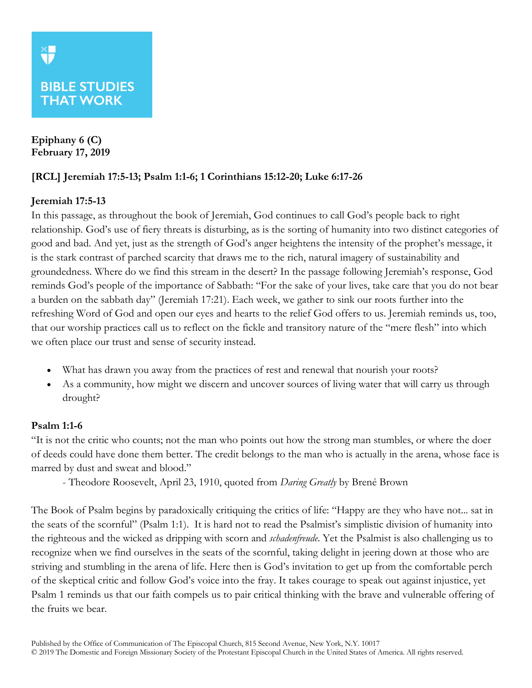# **BIBLE STUDIES THAT WORK**

**Epiphany 6 (C) February 17, 2019**

# **[RCL] Jeremiah 17:5-13; Psalm 1:1-6; 1 Corinthians 15:12-20; Luke 6:17-26**

### **Jeremiah 17:5-13**

In this passage, as throughout the book of Jeremiah, God continues to call God's people back to right relationship. God's use of fiery threats is disturbing, as is the sorting of humanity into two distinct categories of good and bad. And yet, just as the strength of God's anger heightens the intensity of the prophet's message, it is the stark contrast of parched scarcity that draws me to the rich, natural imagery of sustainability and groundedness. Where do we find this stream in the desert? In the passage following Jeremiah's response, God reminds God's people of the importance of Sabbath: "For the sake of your lives, take care that you do not bear a burden on the sabbath day" (Jeremiah 17:21). Each week, we gather to sink our roots further into the refreshing Word of God and open our eyes and hearts to the relief God offers to us. Jeremiah reminds us, too, that our worship practices call us to reflect on the fickle and transitory nature of the "mere flesh" into which we often place our trust and sense of security instead.

- What has drawn you away from the practices of rest and renewal that nourish your roots?
- As a community, how might we discern and uncover sources of living water that will carry us through drought?

### **Psalm 1:1-6**

"It is not the critic who counts; not the man who points out how the strong man stumbles, or where the doer of deeds could have done them better. The credit belongs to the man who is actually in the arena, whose face is marred by dust and sweat and blood."

- Theodore Roosevelt, April 23, 1910, quoted from *Daring Greatly* by Brené Brown

The Book of Psalm begins by paradoxically critiquing the critics of life: "Happy are they who have not... sat in the seats of the scornful" (Psalm 1:1). It is hard not to read the Psalmist's simplistic division of humanity into the righteous and the wicked as dripping with scorn and *schadenfreude*. Yet the Psalmist is also challenging us to recognize when we find ourselves in the seats of the scornful, taking delight in jeering down at those who are striving and stumbling in the arena of life. Here then is God's invitation to get up from the comfortable perch of the skeptical critic and follow God's voice into the fray. It takes courage to speak out against injustice, yet Psalm 1 reminds us that our faith compels us to pair critical thinking with the brave and vulnerable offering of the fruits we bear.